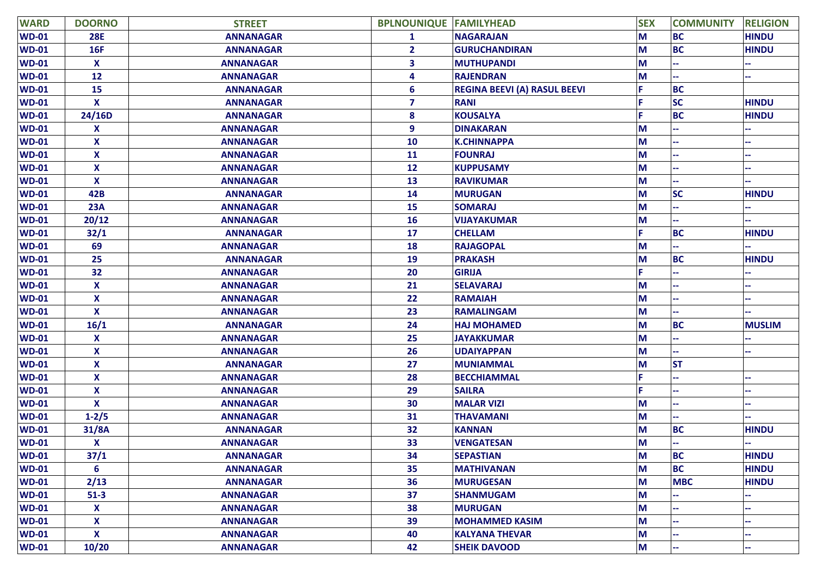| <b>WARD</b>  | <b>DOORNO</b>             | <b>STREET</b>    | <b>BPLNOUNIQUE FAMILYHEAD</b> |                                     | <b>SEX</b> | <b>COMMUNITY</b> | <b>RELIGION</b> |
|--------------|---------------------------|------------------|-------------------------------|-------------------------------------|------------|------------------|-----------------|
| <b>WD-01</b> | <b>28E</b>                | <b>ANNANAGAR</b> | $\mathbf{1}$                  | <b>NAGARAJAN</b>                    | M          | <b>BC</b>        | <b>HINDU</b>    |
| <b>WD-01</b> | <b>16F</b>                | <b>ANNANAGAR</b> | $\mathbf{2}$                  | <b>GURUCHANDIRAN</b>                | M          | <b>BC</b>        | <b>HINDU</b>    |
| <b>WD-01</b> | X                         | <b>ANNANAGAR</b> | 3                             | <b>MUTHUPANDI</b>                   | M          |                  |                 |
| <b>WD-01</b> | 12                        | <b>ANNANAGAR</b> | 4                             | <b>RAJENDRAN</b>                    | M          |                  |                 |
| <b>WD-01</b> | 15                        | <b>ANNANAGAR</b> | 6                             | <b>REGINA BEEVI (A) RASUL BEEVI</b> |            | <b>BC</b>        |                 |
| <b>WD-01</b> | $\boldsymbol{\mathsf{x}}$ | <b>ANNANAGAR</b> | $\overline{\mathbf{z}}$       | <b>RANI</b>                         |            | <b>SC</b>        | <b>HINDU</b>    |
| <b>WD-01</b> | 24/16D                    | <b>ANNANAGAR</b> | 8                             | <b>KOUSALYA</b>                     |            | <b>BC</b>        | <b>HINDU</b>    |
| <b>WD-01</b> | X                         | <b>ANNANAGAR</b> | 9                             | <b>DINAKARAN</b>                    | M          |                  |                 |
| <b>WD-01</b> | X                         | <b>ANNANAGAR</b> | 10                            | <b>K.CHINNAPPA</b>                  | M          |                  |                 |
| <b>WD-01</b> | X                         | <b>ANNANAGAR</b> | 11                            | <b>FOUNRAJ</b>                      | M          |                  |                 |
| <b>WD-01</b> | X                         | <b>ANNANAGAR</b> | 12                            | <b>KUPPUSAMY</b>                    | M          |                  |                 |
| <b>WD-01</b> | X                         | <b>ANNANAGAR</b> | 13                            | <b>RAVIKUMAR</b>                    | M          |                  |                 |
| <b>WD-01</b> | 42B                       | <b>ANNANAGAR</b> | 14                            | <b>MURUGAN</b>                      | M          | <b>SC</b>        | <b>HINDU</b>    |
| <b>WD-01</b> | 23A                       | <b>ANNANAGAR</b> | 15                            | <b>SOMARAJ</b>                      | M          |                  |                 |
| <b>WD-01</b> | 20/12                     | <b>ANNANAGAR</b> | 16                            | <b>VIJAYAKUMAR</b>                  | M          |                  |                 |
| <b>WD-01</b> | 32/1                      | <b>ANNANAGAR</b> | 17                            | <b>CHELLAM</b>                      |            | <b>BC</b>        | <b>HINDU</b>    |
| <b>WD-01</b> | 69                        | <b>ANNANAGAR</b> | 18                            | <b>RAJAGOPAL</b>                    | M          |                  |                 |
| <b>WD-01</b> | 25                        | <b>ANNANAGAR</b> | 19                            | <b>PRAKASH</b>                      | M          | <b>BC</b>        | <b>HINDU</b>    |
| <b>WD-01</b> | 32                        | <b>ANNANAGAR</b> | 20                            | <b>GIRIJA</b>                       |            |                  |                 |
| <b>WD-01</b> | X                         | <b>ANNANAGAR</b> | 21                            | <b>SELAVARAJ</b>                    | М          |                  |                 |
| <b>WD-01</b> | $\boldsymbol{\mathsf{x}}$ | <b>ANNANAGAR</b> | 22                            | <b>RAMAIAH</b>                      | M          |                  |                 |
| <b>WD-01</b> | $\mathbf x$               | <b>ANNANAGAR</b> | 23                            | <b>RAMALINGAM</b>                   | M          |                  |                 |
| <b>WD-01</b> | 16/1                      | <b>ANNANAGAR</b> | 24                            | <b>HAJ MOHAMED</b>                  | M          | <b>BC</b>        | <b>MUSLIM</b>   |
| <b>WD-01</b> | X                         | <b>ANNANAGAR</b> | 25                            | <b>JAYAKKUMAR</b>                   | M          |                  |                 |
| <b>WD-01</b> | X                         | <b>ANNANAGAR</b> | 26                            | <b>UDAIYAPPAN</b>                   | M          |                  |                 |
| <b>WD-01</b> | $\boldsymbol{\mathsf{x}}$ | <b>ANNANAGAR</b> | 27                            | <b>MUNIAMMAL</b>                    | M          | <b>ST</b>        |                 |
| <b>WD-01</b> | $\boldsymbol{\mathsf{x}}$ | <b>ANNANAGAR</b> | 28                            | <b>BECCHIAMMAL</b>                  |            |                  |                 |
| $WD-01$      | X                         | <b>ANNANAGAR</b> | 29                            | <b>SAILRA</b>                       |            |                  |                 |
| <b>WD-01</b> | $\boldsymbol{\mathsf{x}}$ | <b>ANNANAGAR</b> | 30                            | <b>MALAR VIZI</b>                   | М          |                  |                 |
| <b>WD-01</b> | $1 - 2/5$                 | <b>ANNANAGAR</b> | 31                            | <b>THAVAMANI</b>                    | M          |                  |                 |
| <b>WD-01</b> | 31/8A                     | <b>ANNANAGAR</b> | 32                            | <b>KANNAN</b>                       | M          | <b>BC</b>        | <b>HINDU</b>    |
| <b>WD-01</b> | X                         | <b>ANNANAGAR</b> | 33                            | <b>VENGATESAN</b>                   | M          |                  |                 |
| <b>WD-01</b> | 37/1                      | <b>ANNANAGAR</b> | 34                            | <b>SEPASTIAN</b>                    | M          | <b>BC</b>        | <b>HINDU</b>    |
| <b>WD-01</b> | 6                         | <b>ANNANAGAR</b> | 35                            | <b>MATHIVANAN</b>                   | M          | <b>BC</b>        | <b>HINDU</b>    |
| <b>WD-01</b> | 2/13                      | <b>ANNANAGAR</b> | 36                            | <b>MURUGESAN</b>                    | M          | <b>MBC</b>       | <b>HINDU</b>    |
| $WD-01$      | $51-3$                    | <b>ANNANAGAR</b> | 37                            | <b>SHANMUGAM</b>                    | M          |                  |                 |
| $WD-01$      | $\mathbf{x}$              | <b>ANNANAGAR</b> | 38                            | <b>MURUGAN</b>                      | M          |                  |                 |
| $WD-01$      | $\boldsymbol{\mathsf{x}}$ | <b>ANNANAGAR</b> | 39                            | <b>MOHAMMED KASIM</b>               | M          |                  |                 |
| $WD-01$      | $\mathbf{x}$              | <b>ANNANAGAR</b> | 40                            | <b>KALYANA THEVAR</b>               | M          |                  |                 |
| <b>WD-01</b> | 10/20                     | <b>ANNANAGAR</b> | 42                            | <b>SHEIK DAVOOD</b>                 | M          |                  |                 |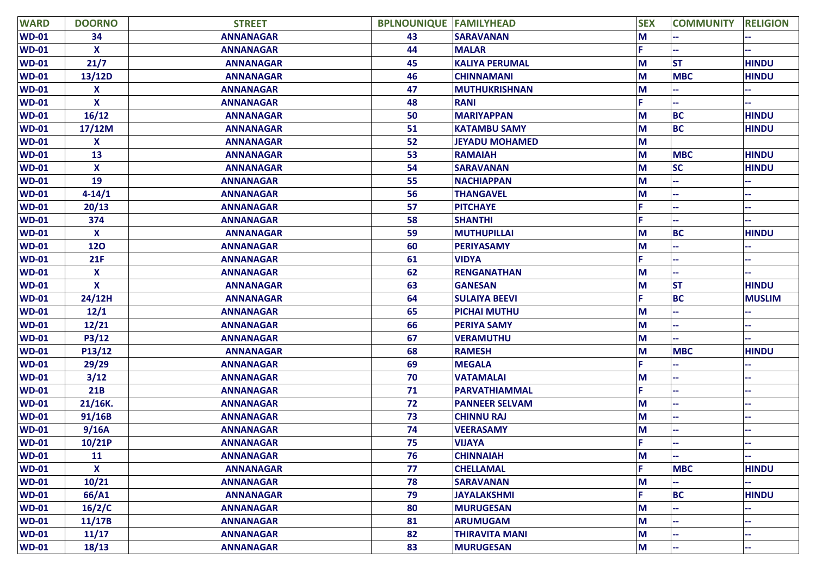| <b>WARD</b>  | <b>DOORNO</b>             | <b>STREET</b>    | <b>BPLNOUNIQUE FAMILYHEAD</b> |                       | <b>SEX</b> | <b>COMMUNITY</b> | <b>RELIGION</b> |
|--------------|---------------------------|------------------|-------------------------------|-----------------------|------------|------------------|-----------------|
| <b>WD-01</b> | 34                        | <b>ANNANAGAR</b> | 43                            | <b>SARAVANAN</b>      | M          |                  |                 |
| <b>WD-01</b> | $\boldsymbol{\mathsf{x}}$ | <b>ANNANAGAR</b> | 44                            | <b>MALAR</b>          |            |                  |                 |
| <b>WD-01</b> | 21/7                      | <b>ANNANAGAR</b> | 45                            | <b>KALIYA PERUMAL</b> | М          | <b>ST</b>        | <b>HINDU</b>    |
| <b>WD-01</b> | 13/12D                    | <b>ANNANAGAR</b> | 46                            | <b>CHINNAMANI</b>     | M          | <b>MBC</b>       | <b>HINDU</b>    |
| <b>WD-01</b> | X                         | <b>ANNANAGAR</b> | 47                            | <b>MUTHUKRISHNAN</b>  | M          |                  |                 |
| <b>WD-01</b> | $\boldsymbol{\mathsf{x}}$ | <b>ANNANAGAR</b> | 48                            | <b>RANI</b>           | F          |                  |                 |
| <b>WD-01</b> | 16/12                     | <b>ANNANAGAR</b> | 50                            | <b>MARIYAPPAN</b>     | М          | <b>BC</b>        | <b>HINDU</b>    |
| <b>WD-01</b> | 17/12M                    | <b>ANNANAGAR</b> | 51                            | <b>KATAMBU SAMY</b>   | M          | <b>BC</b>        | <b>HINDU</b>    |
| <b>WD-01</b> | X                         | <b>ANNANAGAR</b> | 52                            | <b>JEYADU MOHAMED</b> | M          |                  |                 |
| <b>WD-01</b> | 13                        | <b>ANNANAGAR</b> | 53                            | <b>RAMAIAH</b>        | M          | <b>MBC</b>       | <b>HINDU</b>    |
| <b>WD-01</b> | X                         | <b>ANNANAGAR</b> | 54                            | <b>SARAVANAN</b>      | M          | <b>SC</b>        | <b>HINDU</b>    |
| <b>WD-01</b> | 19                        | <b>ANNANAGAR</b> | 55                            | <b>NACHIAPPAN</b>     | M          |                  |                 |
| <b>WD-01</b> | $4 - 14/1$                | <b>ANNANAGAR</b> | 56                            | <b>THANGAVEL</b>      | М          |                  |                 |
| <b>WD-01</b> | 20/13                     | <b>ANNANAGAR</b> | 57                            | <b>PITCHAYE</b>       |            |                  |                 |
| <b>WD-01</b> | 374                       | <b>ANNANAGAR</b> | 58                            | <b>SHANTHI</b>        |            |                  |                 |
| <b>WD-01</b> | X                         | <b>ANNANAGAR</b> | 59                            | <b>MUTHUPILLAI</b>    | M          | <b>BC</b>        | <b>HINDU</b>    |
| <b>WD-01</b> | 120                       | <b>ANNANAGAR</b> | 60                            | <b>PERIYASAMY</b>     | М          |                  |                 |
| <b>WD-01</b> | 21F                       | <b>ANNANAGAR</b> | 61                            | <b>VIDYA</b>          |            |                  |                 |
| <b>WD-01</b> | X                         | <b>ANNANAGAR</b> | 62                            | <b>RENGANATHAN</b>    | М          |                  |                 |
| <b>WD-01</b> | X                         | <b>ANNANAGAR</b> | 63                            | <b>GANESAN</b>        | M          | <b>ST</b>        | <b>HINDU</b>    |
| <b>WD-01</b> | 24/12H                    | <b>ANNANAGAR</b> | 64                            | <b>SULAIYA BEEVI</b>  |            | <b>BC</b>        | <b>MUSLIM</b>   |
| <b>WD-01</b> | 12/1                      | <b>ANNANAGAR</b> | 65                            | <b>PICHAI MUTHU</b>   | M          |                  |                 |
| <b>WD-01</b> | 12/21                     | <b>ANNANAGAR</b> | 66                            | <b>PERIYA SAMY</b>    | M          |                  |                 |
| <b>WD-01</b> | P3/12                     | <b>ANNANAGAR</b> | 67                            | <b>VERAMUTHU</b>      | M          |                  |                 |
| <b>WD-01</b> | P13/12                    | <b>ANNANAGAR</b> | 68                            | <b>RAMESH</b>         | M          | <b>MBC</b>       | <b>HINDU</b>    |
| <b>WD-01</b> | 29/29                     | <b>ANNANAGAR</b> | 69                            | <b>MEGALA</b>         |            |                  |                 |
| <b>WD-01</b> | 3/12                      | <b>ANNANAGAR</b> | 70                            | <b>VATAMALAI</b>      | M          |                  |                 |
| <b>WD-01</b> | 21B                       | <b>ANNANAGAR</b> | 71                            | PARVATHIAMMAL         |            |                  |                 |
| <b>WD-01</b> | 21/16K.                   | <b>ANNANAGAR</b> | 72                            | <b>PANNEER SELVAM</b> | М          |                  |                 |
| <b>WD-01</b> | 91/16B                    | <b>ANNANAGAR</b> | 73                            | <b>CHINNU RAJ</b>     | M          |                  |                 |
| <b>WD-01</b> | 9/16A                     | <b>ANNANAGAR</b> | 74                            | <b>VEERASAMY</b>      | M          |                  |                 |
| <b>WD-01</b> | 10/21P                    | <b>ANNANAGAR</b> | 75                            | <b>VIJAYA</b>         |            |                  |                 |
| $WD-01$      | 11                        | <b>ANNANAGAR</b> | 76                            | <b>CHINNAIAH</b>      | M          | ä,               |                 |
| $WD-01$      | $\boldsymbol{\mathsf{x}}$ | <b>ANNANAGAR</b> | 77                            | <b>CHELLAMAL</b>      | È.         | <b>MBC</b>       | <b>HINDU</b>    |
| $WD-01$      | 10/21                     | <b>ANNANAGAR</b> | 78                            | <b>SARAVANAN</b>      | M          |                  |                 |
| <b>WD-01</b> | 66/A1                     | <b>ANNANAGAR</b> | 79                            | <b>JAYALAKSHMI</b>    | F          | <b>BC</b>        | <b>HINDU</b>    |
| <b>WD-01</b> | 16/2/C                    | <b>ANNANAGAR</b> | 80                            | <b>MURUGESAN</b>      | M          |                  |                 |
| $WD-01$      | 11/17B                    | <b>ANNANAGAR</b> | 81                            | <b>ARUMUGAM</b>       | M          |                  |                 |
| <b>WD-01</b> | 11/17                     | <b>ANNANAGAR</b> | 82                            | <b>THIRAVITA MANI</b> | M          |                  |                 |
| <b>WD-01</b> | 18/13                     | <b>ANNANAGAR</b> | 83                            | <b>MURUGESAN</b>      | M          |                  |                 |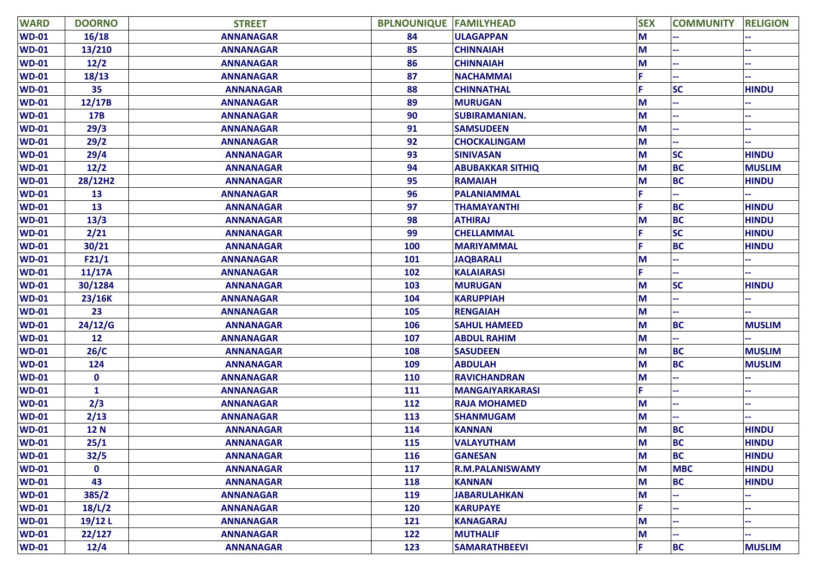| <b>WARD</b>  | <b>DOORNO</b> | <b>STREET</b>    | <b>BPLNOUNIQUE FAMILYHEAD</b> |                         | <b>SEX</b> | <b>COMMUNITY</b> | <b>RELIGION</b> |
|--------------|---------------|------------------|-------------------------------|-------------------------|------------|------------------|-----------------|
| <b>WD-01</b> | 16/18         | <b>ANNANAGAR</b> | 84                            | <b>ULAGAPPAN</b>        | M          |                  |                 |
| <b>WD-01</b> | 13/210        | <b>ANNANAGAR</b> | 85                            | <b>CHINNAIAH</b>        | M          |                  |                 |
| <b>WD-01</b> | 12/2          | <b>ANNANAGAR</b> | 86                            | <b>CHINNAIAH</b>        | M          |                  |                 |
| <b>WD-01</b> | 18/13         | <b>ANNANAGAR</b> | 87                            | <b>NACHAMMAI</b>        |            |                  |                 |
| <b>WD-01</b> | 35            | <b>ANNANAGAR</b> | 88                            | <b>CHINNATHAL</b>       | F          | <b>SC</b>        | <b>HINDU</b>    |
| <b>WD-01</b> | 12/17B        | <b>ANNANAGAR</b> | 89                            | <b>MURUGAN</b>          | M          |                  |                 |
| <b>WD-01</b> | 17B           | <b>ANNANAGAR</b> | 90                            | <b>SUBIRAMANIAN.</b>    | M          |                  |                 |
| <b>WD-01</b> | 29/3          | <b>ANNANAGAR</b> | 91                            | <b>SAMSUDEEN</b>        | M          |                  |                 |
| <b>WD-01</b> | 29/2          | <b>ANNANAGAR</b> | 92                            | <b>CHOCKALINGAM</b>     | M          |                  |                 |
| <b>WD-01</b> | 29/4          | <b>ANNANAGAR</b> | 93                            | <b>SINIVASAN</b>        | M          | <b>SC</b>        | <b>HINDU</b>    |
| <b>WD-01</b> | 12/2          | <b>ANNANAGAR</b> | 94                            | <b>ABUBAKKAR SITHIQ</b> | M          | <b>BC</b>        | <b>MUSLIM</b>   |
| <b>WD-01</b> | 28/12H2       | <b>ANNANAGAR</b> | 95                            | <b>RAMAIAH</b>          | M          | <b>BC</b>        | <b>HINDU</b>    |
| <b>WD-01</b> | 13            | <b>ANNANAGAR</b> | 96                            | <b>PALANIAMMAL</b>      |            |                  |                 |
| <b>WD-01</b> | 13            | <b>ANNANAGAR</b> | 97                            | <b>THAMAYANTHI</b>      | F          | <b>BC</b>        | <b>HINDU</b>    |
| <b>WD-01</b> | 13/3          | <b>ANNANAGAR</b> | 98                            | <b>ATHIRAJ</b>          | M          | <b>BC</b>        | <b>HINDU</b>    |
| <b>WD-01</b> | 2/21          | <b>ANNANAGAR</b> | 99                            | <b>CHELLAMMAL</b>       |            | <b>SC</b>        | <b>HINDU</b>    |
| <b>WD-01</b> | 30/21         | <b>ANNANAGAR</b> | 100                           | <b>MARIYAMMAL</b>       |            | <b>BC</b>        | <b>HINDU</b>    |
| <b>WD-01</b> | F21/1         | <b>ANNANAGAR</b> | 101                           | <b>JAQBARALI</b>        | M          |                  |                 |
| <b>WD-01</b> | 11/17A        | <b>ANNANAGAR</b> | 102                           | <b>KALAIARASI</b>       |            |                  |                 |
| <b>WD-01</b> | 30/1284       | <b>ANNANAGAR</b> | 103                           | <b>MURUGAN</b>          | M          | <b>SC</b>        | <b>HINDU</b>    |
| <b>WD-01</b> | 23/16K        | <b>ANNANAGAR</b> | 104                           | <b>KARUPPIAH</b>        | M          |                  |                 |
| <b>WD-01</b> | 23            | <b>ANNANAGAR</b> | 105                           | <b>RENGAIAH</b>         | M          |                  |                 |
| <b>WD-01</b> | 24/12/G       | <b>ANNANAGAR</b> | 106                           | <b>SAHUL HAMEED</b>     | M          | <b>BC</b>        | <b>MUSLIM</b>   |
| <b>WD-01</b> | 12            | <b>ANNANAGAR</b> | 107                           | <b>ABDUL RAHIM</b>      | M          |                  |                 |
| <b>WD-01</b> | 26/C          | <b>ANNANAGAR</b> | 108                           | <b>SASUDEEN</b>         | M          | <b>BC</b>        | <b>MUSLIM</b>   |
| <b>WD-01</b> | 124           | <b>ANNANAGAR</b> | 109                           | <b>ABDULAH</b>          | M          | <b>BC</b>        | <b>MUSLIM</b>   |
| <b>WD-01</b> | $\mathbf 0$   | <b>ANNANAGAR</b> | 110                           | <b>RAVICHANDRAN</b>     | M          |                  |                 |
| <b>WD-01</b> | 1             | <b>ANNANAGAR</b> | 111                           | <b>MANGAIYARKARASI</b>  |            |                  |                 |
| <b>WD-01</b> | 2/3           | <b>ANNANAGAR</b> | 112                           | <b>RAJA MOHAMED</b>     | M          |                  |                 |
| <b>WD-01</b> | 2/13          | <b>ANNANAGAR</b> | 113                           | <b>SHANMUGAM</b>        | M          |                  |                 |
| <b>WD-01</b> | <b>12 N</b>   | <b>ANNANAGAR</b> | 114                           | <b>KANNAN</b>           | M          | <b>BC</b>        | <b>HINDU</b>    |
| <b>WD-01</b> | 25/1          | <b>ANNANAGAR</b> | 115                           | <b>VALAYUTHAM</b>       | M          | <b>BC</b>        | <b>HINDU</b>    |
| <b>WD-01</b> | 32/5          | <b>ANNANAGAR</b> | 116                           | <b>GANESAN</b>          | M          | <b>BC</b>        | <b>HINDU</b>    |
| <b>WD-01</b> | $\mathbf{0}$  | <b>ANNANAGAR</b> | 117                           | <b>R.M.PALANISWAMY</b>  | M          | <b>MBC</b>       | <b>HINDU</b>    |
| $WD-01$      | 43            | <b>ANNANAGAR</b> | 118                           | <b>KANNAN</b>           | M          | <b>BC</b>        | <b>HINDU</b>    |
| $WD-01$      | 385/2         | <b>ANNANAGAR</b> | 119                           | <b>JABARULAHKAN</b>     | M          |                  |                 |
| $WD-01$      | 18/L/2        | <b>ANNANAGAR</b> | 120                           | <b>KARUPAYE</b>         | F.         |                  |                 |
| $WD-01$      | $19/12$ L     | <b>ANNANAGAR</b> | 121                           | <b>KANAGARAJ</b>        | M          |                  |                 |
| $WD-01$      | 22/127        | <b>ANNANAGAR</b> | 122                           | <b>MUTHALIF</b>         | M          |                  |                 |
| $WD-01$      | 12/4          | <b>ANNANAGAR</b> | 123                           | <b>SAMARATHBEEVI</b>    | F          | <b>BC</b>        | <b>MUSLIM</b>   |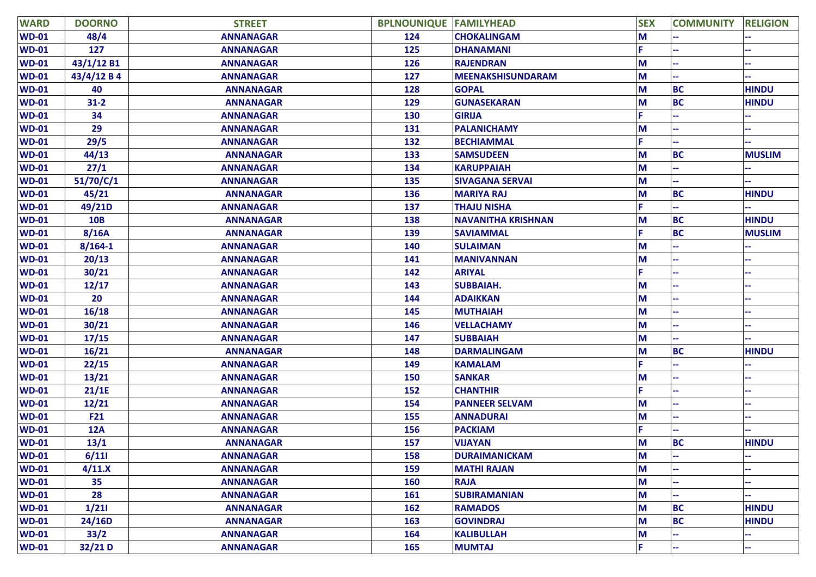| <b>WARD</b>  | <b>DOORNO</b> | <b>STREET</b>    | <b>BPLNOUNIQUE FAMILYHEAD</b> |                           | <b>SEX</b> | <b>COMMUNITY</b> | <b>RELIGION</b> |
|--------------|---------------|------------------|-------------------------------|---------------------------|------------|------------------|-----------------|
| <b>WD-01</b> | 48/4          | <b>ANNANAGAR</b> | 124                           | <b>CHOKALINGAM</b>        | M          |                  |                 |
| <b>WD-01</b> | 127           | <b>ANNANAGAR</b> | 125                           | <b>DHANAMANI</b>          |            |                  |                 |
| <b>WD-01</b> | 43/1/12 B1    | <b>ANNANAGAR</b> | 126                           | <b>RAJENDRAN</b>          | М          |                  |                 |
| <b>WD-01</b> | 43/4/12 B 4   | <b>ANNANAGAR</b> | 127                           | <b>MEENAKSHISUNDARAM</b>  | М          |                  |                 |
| <b>WD-01</b> | 40            | <b>ANNANAGAR</b> | 128                           | <b>GOPAL</b>              | M          | <b>BC</b>        | <b>HINDU</b>    |
| <b>WD-01</b> | $31 - 2$      | <b>ANNANAGAR</b> | 129                           | <b>GUNASEKARAN</b>        | М          | <b>BC</b>        | <b>HINDU</b>    |
| <b>WD-01</b> | 34            | <b>ANNANAGAR</b> | 130                           | <b>GIRIJA</b>             |            |                  |                 |
| <b>WD-01</b> | 29            | <b>ANNANAGAR</b> | 131                           | <b>PALANICHAMY</b>        | М          |                  |                 |
| <b>WD-01</b> | 29/5          | <b>ANNANAGAR</b> | 132                           | <b>BECHIAMMAL</b>         |            |                  |                 |
| <b>WD-01</b> | 44/13         | <b>ANNANAGAR</b> | 133                           | <b>SAMSUDEEN</b>          | M          | <b>BC</b>        | <b>MUSLIM</b>   |
| <b>WD-01</b> | 27/1          | <b>ANNANAGAR</b> | 134                           | <b>KARUPPAIAH</b>         | М          |                  |                 |
| <b>WD-01</b> | 51/70/C/1     | <b>ANNANAGAR</b> | 135                           | <b>SIVAGANA SERVAI</b>    | M          |                  |                 |
| <b>WD-01</b> | 45/21         | <b>ANNANAGAR</b> | 136                           | <b>MARIYA RAJ</b>         | M          | <b>BC</b>        | <b>HINDU</b>    |
| <b>WD-01</b> | 49/21D        | <b>ANNANAGAR</b> | 137                           | <b>THAJU NISHA</b>        |            |                  |                 |
| <b>WD-01</b> | <b>10B</b>    | <b>ANNANAGAR</b> | 138                           | <b>NAVANITHA KRISHNAN</b> | М          | <b>BC</b>        | <b>HINDU</b>    |
| <b>WD-01</b> | 8/16A         | <b>ANNANAGAR</b> | 139                           | <b>SAVIAMMAL</b>          |            | <b>BC</b>        | <b>MUSLIM</b>   |
| <b>WD-01</b> | $8/164 - 1$   | <b>ANNANAGAR</b> | 140                           | <b>SULAIMAN</b>           | М          |                  |                 |
| <b>WD-01</b> | 20/13         | <b>ANNANAGAR</b> | 141                           | <b>MANIVANNAN</b>         | М          |                  |                 |
| <b>WD-01</b> | 30/21         | <b>ANNANAGAR</b> | 142                           | <b>ARIYAL</b>             |            |                  |                 |
| <b>WD-01</b> | 12/17         | <b>ANNANAGAR</b> | 143                           | <b>SUBBAIAH.</b>          | М          |                  |                 |
| <b>WD-01</b> | 20            | <b>ANNANAGAR</b> | 144                           | <b>ADAIKKAN</b>           | M          |                  |                 |
| <b>WD-01</b> | 16/18         | <b>ANNANAGAR</b> | 145                           | <b>MUTHAIAH</b>           | M          |                  |                 |
| <b>WD-01</b> | 30/21         | <b>ANNANAGAR</b> | 146                           | <b>VELLACHAMY</b>         | M          |                  |                 |
| <b>WD-01</b> | 17/15         | <b>ANNANAGAR</b> | 147                           | <b>SUBBAIAH</b>           | M          |                  |                 |
| <b>WD-01</b> | 16/21         | <b>ANNANAGAR</b> | 148                           | <b>DARMALINGAM</b>        | M          | <b>BC</b>        | <b>HINDU</b>    |
| <b>WD-01</b> | 22/15         | <b>ANNANAGAR</b> | 149                           | <b>KAMALAM</b>            |            |                  |                 |
| <b>WD-01</b> | 13/21         | <b>ANNANAGAR</b> | 150                           | <b>SANKAR</b>             | М          |                  |                 |
| <b>WD-01</b> | 21/1E         | <b>ANNANAGAR</b> | 152                           | <b>CHANTHIR</b>           |            |                  |                 |
| <b>WD-01</b> | 12/21         | <b>ANNANAGAR</b> | 154                           | <b>PANNEER SELVAM</b>     | М          |                  |                 |
| <b>WD-01</b> | <b>F21</b>    | <b>ANNANAGAR</b> | 155                           | <b>ANNADURAI</b>          | M          |                  |                 |
| <b>WD-01</b> | <b>12A</b>    | <b>ANNANAGAR</b> | 156                           | <b>PACKIAM</b>            |            |                  |                 |
| <b>WD-01</b> | 13/1          | <b>ANNANAGAR</b> | 157                           | <b>VIJAYAN</b>            | M          | <b>BC</b>        | <b>HINDU</b>    |
| <b>WD-01</b> | 6/111         | <b>ANNANAGAR</b> | 158                           | <b>DURAIMANICKAM</b>      | M          |                  |                 |
| <b>WD-01</b> | 4/11.X        | <b>ANNANAGAR</b> | 159                           | <b>MATHI RAJAN</b>        | M          |                  |                 |
| $WD-01$      | 35            | <b>ANNANAGAR</b> | 160                           | <b>RAJA</b>               | M          |                  |                 |
| <b>WD-01</b> | 28            | <b>ANNANAGAR</b> | 161                           | <b>SUBIRAMANIAN</b>       | M          |                  |                 |
| <b>WD-01</b> | 1/211         | <b>ANNANAGAR</b> | 162                           | <b>RAMADOS</b>            | M          | <b>BC</b>        | <b>HINDU</b>    |
| $WD-01$      | 24/16D        | <b>ANNANAGAR</b> | 163                           | <b>GOVINDRAJ</b>          | M          | <b>BC</b>        | <b>HINDU</b>    |
| <b>WD-01</b> | 33/2          | <b>ANNANAGAR</b> | 164                           | <b>KALIBULLAH</b>         | M          |                  |                 |
| <b>WD-01</b> | 32/21D        | <b>ANNANAGAR</b> | 165                           | <b>MUMTAJ</b>             | F          |                  |                 |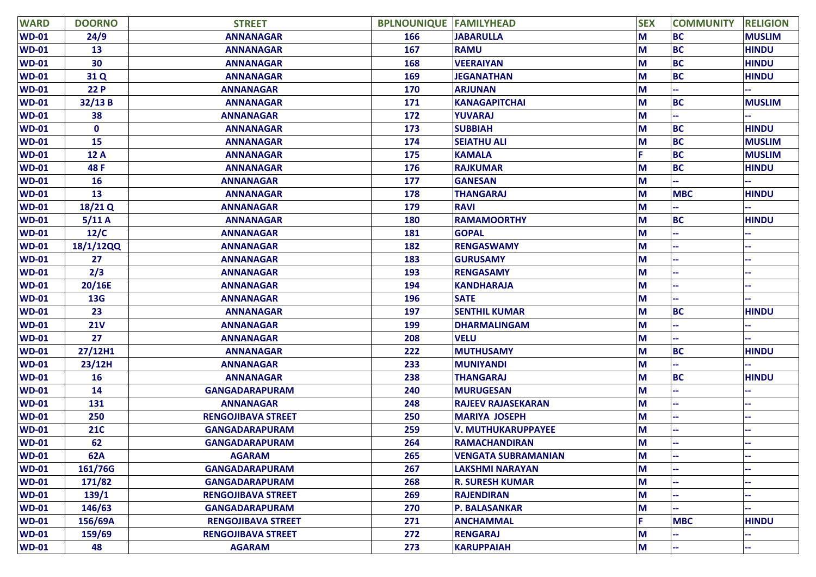| <b>WARD</b>  | <b>DOORNO</b> | <b>STREET</b>             | <b>BPLNOUNIQUE FAMILYHEAD</b> |                            | <b>SEX</b> | <b>COMMUNITY</b> | <b>RELIGION</b> |
|--------------|---------------|---------------------------|-------------------------------|----------------------------|------------|------------------|-----------------|
| <b>WD-01</b> | 24/9          | <b>ANNANAGAR</b>          | 166                           | <b>JABARULLA</b>           | M          | <b>BC</b>        | <b>MUSLIM</b>   |
| <b>WD-01</b> | 13            | <b>ANNANAGAR</b>          | 167                           | <b>RAMU</b>                | M          | <b>BC</b>        | <b>HINDU</b>    |
| <b>WD-01</b> | 30            | <b>ANNANAGAR</b>          | 168                           | <b>VEERAIYAN</b>           | M          | <b>BC</b>        | <b>HINDU</b>    |
| <b>WD-01</b> | 31 Q          | <b>ANNANAGAR</b>          | 169                           | <b>JEGANATHAN</b>          | M          | <b>BC</b>        | <b>HINDU</b>    |
| <b>WD-01</b> | 22 P          | <b>ANNANAGAR</b>          | 170                           | <b>ARJUNAN</b>             | M          |                  |                 |
| <b>WD-01</b> | 32/13 B       | <b>ANNANAGAR</b>          | 171                           | <b>KANAGAPITCHAI</b>       | M          | <b>BC</b>        | <b>MUSLIM</b>   |
| <b>WD-01</b> | 38            | <b>ANNANAGAR</b>          | 172                           | <b>YUVARAJ</b>             | M          |                  |                 |
| <b>WD-01</b> | $\mathbf 0$   | <b>ANNANAGAR</b>          | 173                           | <b>SUBBIAH</b>             | M          | <b>BC</b>        | <b>HINDU</b>    |
| <b>WD-01</b> | 15            | <b>ANNANAGAR</b>          | 174                           | <b>SEIATHU ALI</b>         | M          | <b>BC</b>        | <b>MUSLIM</b>   |
| <b>WD-01</b> | 12 A          | <b>ANNANAGAR</b>          | 175                           | <b>KAMALA</b>              |            | <b>BC</b>        | <b>MUSLIM</b>   |
| <b>WD-01</b> | 48 F          | <b>ANNANAGAR</b>          | 176                           | <b>RAJKUMAR</b>            | М          | <b>BC</b>        | <b>HINDU</b>    |
| <b>WD-01</b> | <b>16</b>     | <b>ANNANAGAR</b>          | 177                           | <b>GANESAN</b>             | M          |                  |                 |
| <b>WD-01</b> | 13            | <b>ANNANAGAR</b>          | 178                           | <b>THANGARAJ</b>           | M          | <b>MBC</b>       | <b>HINDU</b>    |
| <b>WD-01</b> | 18/21 Q       | <b>ANNANAGAR</b>          | 179                           | <b>RAVI</b>                | M          |                  |                 |
| <b>WD-01</b> | 5/11A         | <b>ANNANAGAR</b>          | 180                           | <b>RAMAMOORTHY</b>         | M          | <b>BC</b>        | <b>HINDU</b>    |
| <b>WD-01</b> | 12/C          | <b>ANNANAGAR</b>          | 181                           | <b>GOPAL</b>               | M          |                  |                 |
| <b>WD-01</b> | 18/1/12QQ     | <b>ANNANAGAR</b>          | 182                           | <b>RENGASWAMY</b>          | М          |                  |                 |
| <b>WD-01</b> | 27            | <b>ANNANAGAR</b>          | 183                           | <b>GURUSAMY</b>            | M          |                  |                 |
| <b>WD-01</b> | 2/3           | <b>ANNANAGAR</b>          | 193                           | <b>RENGASAMY</b>           | М          |                  |                 |
| <b>WD-01</b> | 20/16E        | <b>ANNANAGAR</b>          | 194                           | <b>KANDHARAJA</b>          | М          |                  |                 |
| <b>WD-01</b> | <b>13G</b>    | <b>ANNANAGAR</b>          | 196                           | <b>SATE</b>                | M          |                  |                 |
| <b>WD-01</b> | 23            | <b>ANNANAGAR</b>          | 197                           | <b>SENTHIL KUMAR</b>       | M          | <b>BC</b>        | <b>HINDU</b>    |
| <b>WD-01</b> | <b>21V</b>    | <b>ANNANAGAR</b>          | 199                           | <b>DHARMALINGAM</b>        | M          |                  |                 |
| <b>WD-01</b> | 27            | <b>ANNANAGAR</b>          | 208                           | <b>VELU</b>                | M          |                  |                 |
| <b>WD-01</b> | 27/12H1       | <b>ANNANAGAR</b>          | 222                           | <b>MUTHUSAMY</b>           | M          | <b>BC</b>        | <b>HINDU</b>    |
| <b>WD-01</b> | 23/12H        | <b>ANNANAGAR</b>          | 233                           | <b>MUNIYANDI</b>           | M          |                  |                 |
| <b>WD-01</b> | 16            | <b>ANNANAGAR</b>          | 238                           | <b>THANGARAJ</b>           | M          | <b>BC</b>        | <b>HINDU</b>    |
| <b>WD-01</b> | 14            | <b>GANGADARAPURAM</b>     | 240                           | <b>MURUGESAN</b>           | M          |                  |                 |
| <b>WD-01</b> | 131           | <b>ANNANAGAR</b>          | 248                           | <b>RAJEEV RAJASEKARAN</b>  | M          |                  |                 |
| <b>WD-01</b> | 250           | <b>RENGOJIBAVA STREET</b> | 250                           | <b>MARIYA JOSEPH</b>       | M          |                  |                 |
| <b>WD-01</b> | <b>21C</b>    | <b>GANGADARAPURAM</b>     | 259                           | <b>V. MUTHUKARUPPAYEE</b>  | M          |                  |                 |
| <b>WD-01</b> | 62            | <b>GANGADARAPURAM</b>     | 264                           | <b>RAMACHANDIRAN</b>       | M          |                  |                 |
| <b>WD-01</b> | <b>62A</b>    | <b>AGARAM</b>             | 265                           | <b>VENGATA SUBRAMANIAN</b> | M          |                  |                 |
| <b>WD-01</b> | 161/76G       | <b>GANGADARAPURAM</b>     | 267                           | LAKSHMI NARAYAN            | M          |                  |                 |
| <b>WD-01</b> | 171/82        | <b>GANGADARAPURAM</b>     | 268                           | <b>R. SURESH KUMAR</b>     | M          |                  |                 |
| <b>WD-01</b> | 139/1         | <b>RENGOJIBAVA STREET</b> | 269                           | <b>RAJENDIRAN</b>          | M          |                  |                 |
| <b>WD-01</b> | 146/63        | <b>GANGADARAPURAM</b>     | 270                           | <b>P. BALASANKAR</b>       | M          |                  |                 |
| <b>WD-01</b> | 156/69A       | <b>RENGOJIBAVA STREET</b> | 271                           | <b>ANCHAMMAL</b>           |            | <b>MBC</b>       | <b>HINDU</b>    |
| <b>WD-01</b> | 159/69        | <b>RENGOJIBAVA STREET</b> | 272                           | <b>RENGARAJ</b>            | M          |                  |                 |
| <b>WD-01</b> | 48            | <b>AGARAM</b>             | 273                           | <b>KARUPPAIAH</b>          | M          | ÷                | н.              |